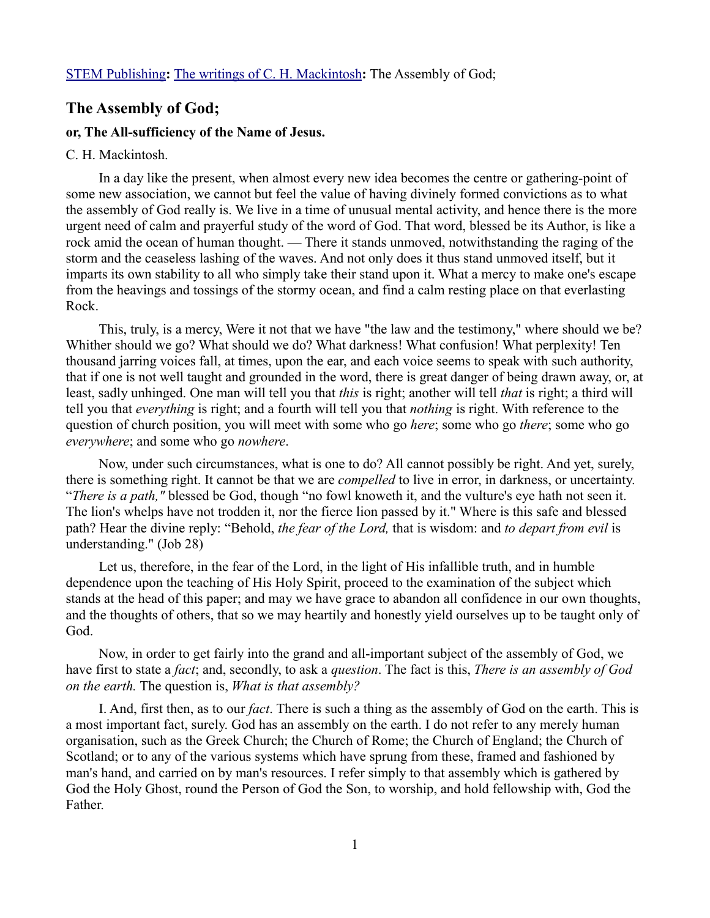## **The Assembly of God;**

## **or, The All-sufficiency of the Name of Jesus.**

## C. H. Mackintosh.

In a day like the present, when almost every new idea becomes the centre or gathering-point of some new association, we cannot but feel the value of having divinely formed convictions as to what the assembly of God really is. We live in a time of unusual mental activity, and hence there is the more urgent need of calm and prayerful study of the word of God. That word, blessed be its Author, is like a rock amid the ocean of human thought. — There it stands unmoved, notwithstanding the raging of the storm and the ceaseless lashing of the waves. And not only does it thus stand unmoved itself, but it imparts its own stability to all who simply take their stand upon it. What a mercy to make one's escape from the heavings and tossings of the stormy ocean, and find a calm resting place on that everlasting Rock.

This, truly, is a mercy, Were it not that we have "the law and the testimony," where should we be? Whither should we go? What should we do? What darkness! What confusion! What perplexity! Ten thousand jarring voices fall, at times, upon the ear, and each voice seems to speak with such authority, that if one is not well taught and grounded in the word, there is great danger of being drawn away, or, at least, sadly unhinged. One man will tell you that *this* is right; another will tell *that* is right; a third will tell you that *everything* is right; and a fourth will tell you that *nothing* is right. With reference to the question of church position, you will meet with some who go *here*; some who go *there*; some who go *everywhere*; and some who go *nowhere*.

Now, under such circumstances, what is one to do? All cannot possibly be right. And yet, surely, there is something right. It cannot be that we are *compelled* to live in error, in darkness, or uncertainty. "*There is a path,"* blessed be God, though "no fowl knoweth it, and the vulture's eye hath not seen it. The lion's whelps have not trodden it, nor the fierce lion passed by it." Where is this safe and blessed path? Hear the divine reply: "Behold, *the fear of the Lord,* that is wisdom: and *to depart from evil* is understanding." (Job 28)

Let us, therefore, in the fear of the Lord, in the light of His infallible truth, and in humble dependence upon the teaching of His Holy Spirit, proceed to the examination of the subject which stands at the head of this paper; and may we have grace to abandon all confidence in our own thoughts, and the thoughts of others, that so we may heartily and honestly yield ourselves up to be taught only of God.

Now, in order to get fairly into the grand and all-important subject of the assembly of God, we have first to state a *fact*; and, secondly, to ask a *question*. The fact is this, *There is an assembly of God on the earth.* The question is, *What is that assembly?*

I. And, first then, as to our *fact*. There is such a thing as the assembly of God on the earth. This is a most important fact, surely. God has an assembly on the earth. I do not refer to any merely human organisation, such as the Greek Church; the Church of Rome; the Church of England; the Church of Scotland; or to any of the various systems which have sprung from these, framed and fashioned by man's hand, and carried on by man's resources. I refer simply to that assembly which is gathered by God the Holy Ghost, round the Person of God the Son, to worship, and hold fellowship with, God the Father.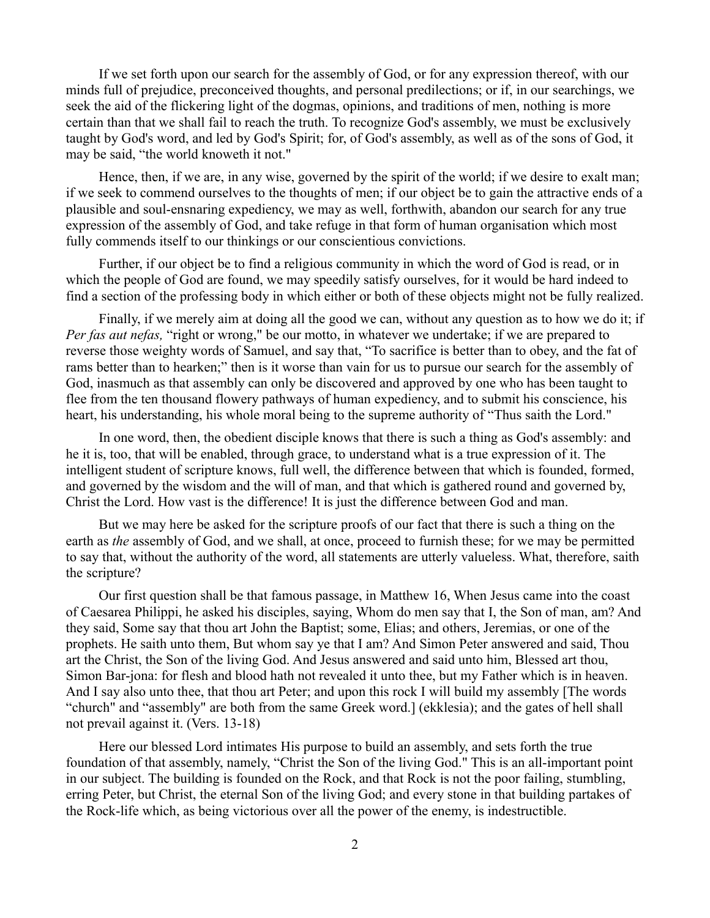If we set forth upon our search for the assembly of God, or for any expression thereof, with our minds full of prejudice, preconceived thoughts, and personal predilections; or if, in our searchings, we seek the aid of the flickering light of the dogmas, opinions, and traditions of men, nothing is more certain than that we shall fail to reach the truth. To recognize God's assembly, we must be exclusively taught by God's word, and led by God's Spirit; for, of God's assembly, as well as of the sons of God, it may be said, "the world knoweth it not."

Hence, then, if we are, in any wise, governed by the spirit of the world; if we desire to exalt man; if we seek to commend ourselves to the thoughts of men; if our object be to gain the attractive ends of a plausible and soul-ensnaring expediency, we may as well, forthwith, abandon our search for any true expression of the assembly of God, and take refuge in that form of human organisation which most fully commends itself to our thinkings or our conscientious convictions.

Further, if our object be to find a religious community in which the word of God is read, or in which the people of God are found, we may speedily satisfy ourselves, for it would be hard indeed to find a section of the professing body in which either or both of these objects might not be fully realized.

Finally, if we merely aim at doing all the good we can, without any question as to how we do it; if *Per fas aut nefas,* "right or wrong," be our motto, in whatever we undertake; if we are prepared to reverse those weighty words of Samuel, and say that, "To sacrifice is better than to obey, and the fat of rams better than to hearken;" then is it worse than vain for us to pursue our search for the assembly of God, inasmuch as that assembly can only be discovered and approved by one who has been taught to flee from the ten thousand flowery pathways of human expediency, and to submit his conscience, his heart, his understanding, his whole moral being to the supreme authority of "Thus saith the Lord."

In one word, then, the obedient disciple knows that there is such a thing as God's assembly: and he it is, too, that will be enabled, through grace, to understand what is a true expression of it. The intelligent student of scripture knows, full well, the difference between that which is founded, formed, and governed by the wisdom and the will of man, and that which is gathered round and governed by, Christ the Lord. How vast is the difference! It is just the difference between God and man.

But we may here be asked for the scripture proofs of our fact that there is such a thing on the earth as *the* assembly of God, and we shall, at once, proceed to furnish these; for we may be permitted to say that, without the authority of the word, all statements are utterly valueless. What, therefore, saith the scripture?

Our first question shall be that famous passage, in Matthew 16, When Jesus came into the coast of Caesarea Philippi, he asked his disciples, saying, Whom do men say that I, the Son of man, am? And they said, Some say that thou art John the Baptist; some, Elias; and others, Jeremias, or one of the prophets. He saith unto them, But whom say ye that I am? And Simon Peter answered and said, Thou art the Christ, the Son of the living God. And Jesus answered and said unto him, Blessed art thou, Simon Bar-jona: for flesh and blood hath not revealed it unto thee, but my Father which is in heaven. And I say also unto thee, that thou art Peter; and upon this rock I will build my assembly [The words "church" and "assembly" are both from the same Greek word.] (ekklesia); and the gates of hell shall not prevail against it. (Vers. 13-18)

Here our blessed Lord intimates His purpose to build an assembly, and sets forth the true foundation of that assembly, namely, "Christ the Son of the living God." This is an all-important point in our subject. The building is founded on the Rock, and that Rock is not the poor failing, stumbling, erring Peter, but Christ, the eternal Son of the living God; and every stone in that building partakes of the Rock-life which, as being victorious over all the power of the enemy, is indestructible.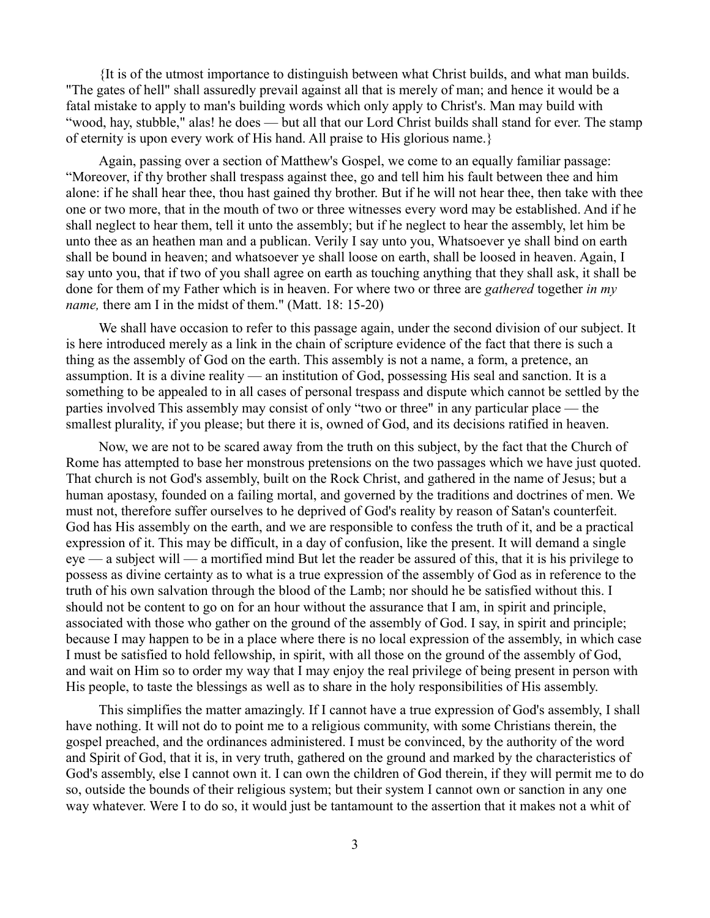{It is of the utmost importance to distinguish between what Christ builds, and what man builds. "The gates of hell" shall assuredly prevail against all that is merely of man; and hence it would be a fatal mistake to apply to man's building words which only apply to Christ's. Man may build with "wood, hay, stubble," alas! he does — but all that our Lord Christ builds shall stand for ever. The stamp of eternity is upon every work of His hand. All praise to His glorious name.}

Again, passing over a section of Matthew's Gospel, we come to an equally familiar passage: "Moreover, if thy brother shall trespass against thee, go and tell him his fault between thee and him alone: if he shall hear thee, thou hast gained thy brother. But if he will not hear thee, then take with thee one or two more, that in the mouth of two or three witnesses every word may be established. And if he shall neglect to hear them, tell it unto the assembly; but if he neglect to hear the assembly, let him be unto thee as an heathen man and a publican. Verily I say unto you, Whatsoever ye shall bind on earth shall be bound in heaven; and whatsoever ye shall loose on earth, shall be loosed in heaven. Again, I say unto you, that if two of you shall agree on earth as touching anything that they shall ask, it shall be done for them of my Father which is in heaven. For where two or three are *gathered* together *in my name,* there am I in the midst of them." (Matt. 18: 15-20)

We shall have occasion to refer to this passage again, under the second division of our subject. It is here introduced merely as a link in the chain of scripture evidence of the fact that there is such a thing as the assembly of God on the earth. This assembly is not a name, a form, a pretence, an assumption. It is a divine reality — an institution of God, possessing His seal and sanction. It is a something to be appealed to in all cases of personal trespass and dispute which cannot be settled by the parties involved This assembly may consist of only "two or three" in any particular place — the smallest plurality, if you please; but there it is, owned of God, and its decisions ratified in heaven.

Now, we are not to be scared away from the truth on this subject, by the fact that the Church of Rome has attempted to base her monstrous pretensions on the two passages which we have just quoted. That church is not God's assembly, built on the Rock Christ, and gathered in the name of Jesus; but a human apostasy, founded on a failing mortal, and governed by the traditions and doctrines of men. We must not, therefore suffer ourselves to he deprived of God's reality by reason of Satan's counterfeit. God has His assembly on the earth, and we are responsible to confess the truth of it, and be a practical expression of it. This may be difficult, in a day of confusion, like the present. It will demand a single eye — a subject will — a mortified mind But let the reader be assured of this, that it is his privilege to possess as divine certainty as to what is a true expression of the assembly of God as in reference to the truth of his own salvation through the blood of the Lamb; nor should he be satisfied without this. I should not be content to go on for an hour without the assurance that I am, in spirit and principle, associated with those who gather on the ground of the assembly of God. I say, in spirit and principle; because I may happen to be in a place where there is no local expression of the assembly, in which case I must be satisfied to hold fellowship, in spirit, with all those on the ground of the assembly of God, and wait on Him so to order my way that I may enjoy the real privilege of being present in person with His people, to taste the blessings as well as to share in the holy responsibilities of His assembly.

This simplifies the matter amazingly. If I cannot have a true expression of God's assembly, I shall have nothing. It will not do to point me to a religious community, with some Christians therein, the gospel preached, and the ordinances administered. I must be convinced, by the authority of the word and Spirit of God, that it is, in very truth, gathered on the ground and marked by the characteristics of God's assembly, else I cannot own it. I can own the children of God therein, if they will permit me to do so, outside the bounds of their religious system; but their system I cannot own or sanction in any one way whatever. Were I to do so, it would just be tantamount to the assertion that it makes not a whit of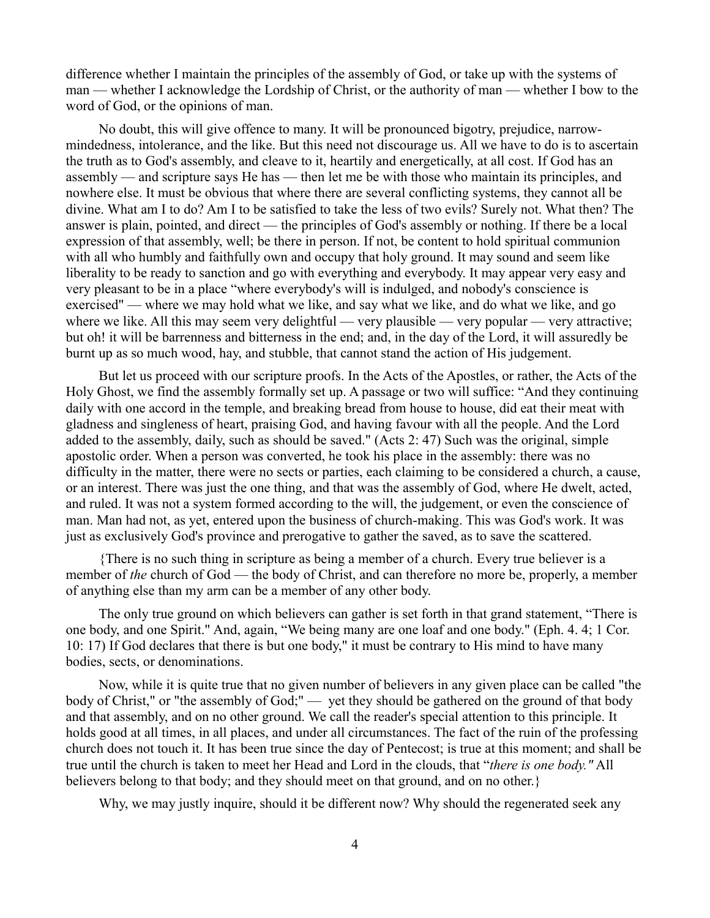difference whether I maintain the principles of the assembly of God, or take up with the systems of man — whether I acknowledge the Lordship of Christ, or the authority of man — whether I bow to the word of God, or the opinions of man.

No doubt, this will give offence to many. It will be pronounced bigotry, prejudice, narrowmindedness, intolerance, and the like. But this need not discourage us. All we have to do is to ascertain the truth as to God's assembly, and cleave to it, heartily and energetically, at all cost. If God has an assembly — and scripture says He has — then let me be with those who maintain its principles, and nowhere else. It must be obvious that where there are several conflicting systems, they cannot all be divine. What am I to do? Am I to be satisfied to take the less of two evils? Surely not. What then? The answer is plain, pointed, and direct — the principles of God's assembly or nothing. If there be a local expression of that assembly, well; be there in person. If not, be content to hold spiritual communion with all who humbly and faithfully own and occupy that holy ground. It may sound and seem like liberality to be ready to sanction and go with everything and everybody. It may appear very easy and very pleasant to be in a place "where everybody's will is indulged, and nobody's conscience is exercised" — where we may hold what we like, and say what we like, and do what we like, and go where we like. All this may seem very delightful — very plausible — very popular — very attractive; but oh! it will be barrenness and bitterness in the end; and, in the day of the Lord, it will assuredly be burnt up as so much wood, hay, and stubble, that cannot stand the action of His judgement.

But let us proceed with our scripture proofs. In the Acts of the Apostles, or rather, the Acts of the Holy Ghost, we find the assembly formally set up. A passage or two will suffice: "And they continuing daily with one accord in the temple, and breaking bread from house to house, did eat their meat with gladness and singleness of heart, praising God, and having favour with all the people. And the Lord added to the assembly, daily, such as should be saved." (Acts 2: 47) Such was the original, simple apostolic order. When a person was converted, he took his place in the assembly: there was no difficulty in the matter, there were no sects or parties, each claiming to be considered a church, a cause, or an interest. There was just the one thing, and that was the assembly of God, where He dwelt, acted, and ruled. It was not a system formed according to the will, the judgement, or even the conscience of man. Man had not, as yet, entered upon the business of church-making. This was God's work. It was just as exclusively God's province and prerogative to gather the saved, as to save the scattered.

{There is no such thing in scripture as being a member of a church. Every true believer is a member of *the* church of God — the body of Christ, and can therefore no more be, properly, a member of anything else than my arm can be a member of any other body.

The only true ground on which believers can gather is set forth in that grand statement, "There is one body, and one Spirit." And, again, "We being many are one loaf and one body." (Eph. 4. 4; 1 Cor. 10: 17) If God declares that there is but one body," it must be contrary to His mind to have many bodies, sects, or denominations.

Now, while it is quite true that no given number of believers in any given place can be called "the body of Christ," or "the assembly of God;" — yet they should be gathered on the ground of that body and that assembly, and on no other ground. We call the reader's special attention to this principle. It holds good at all times, in all places, and under all circumstances. The fact of the ruin of the professing church does not touch it. It has been true since the day of Pentecost; is true at this moment; and shall be true until the church is taken to meet her Head and Lord in the clouds, that "*there is one body."* All believers belong to that body; and they should meet on that ground, and on no other.}

Why, we may justly inquire, should it be different now? Why should the regenerated seek any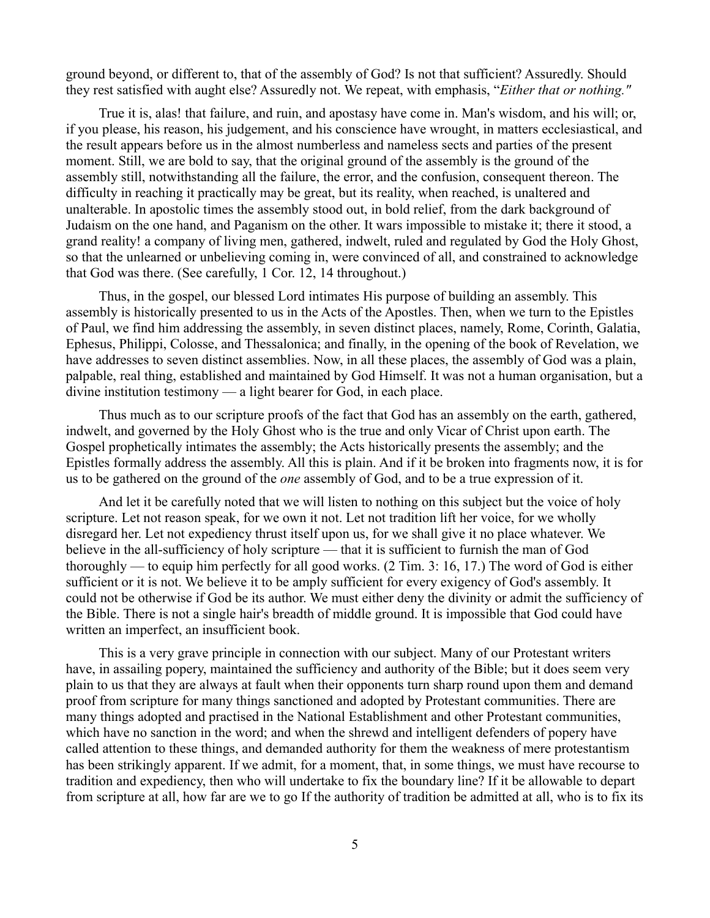ground beyond, or different to, that of the assembly of God? Is not that sufficient? Assuredly. Should they rest satisfied with aught else? Assuredly not. We repeat, with emphasis, "*Either that or nothing."*

True it is, alas! that failure, and ruin, and apostasy have come in. Man's wisdom, and his will; or, if you please, his reason, his judgement, and his conscience have wrought, in matters ecclesiastical, and the result appears before us in the almost numberless and nameless sects and parties of the present moment. Still, we are bold to say, that the original ground of the assembly is the ground of the assembly still, notwithstanding all the failure, the error, and the confusion, consequent thereon. The difficulty in reaching it practically may be great, but its reality, when reached, is unaltered and unalterable. In apostolic times the assembly stood out, in bold relief, from the dark background of Judaism on the one hand, and Paganism on the other. It wars impossible to mistake it; there it stood, a grand reality! a company of living men, gathered, indwelt, ruled and regulated by God the Holy Ghost, so that the unlearned or unbelieving coming in, were convinced of all, and constrained to acknowledge that God was there. (See carefully, 1 Cor. 12, 14 throughout.)

Thus, in the gospel, our blessed Lord intimates His purpose of building an assembly. This assembly is historically presented to us in the Acts of the Apostles. Then, when we turn to the Epistles of Paul, we find him addressing the assembly, in seven distinct places, namely, Rome, Corinth, Galatia, Ephesus, Philippi, Colosse, and Thessalonica; and finally, in the opening of the book of Revelation, we have addresses to seven distinct assemblies. Now, in all these places, the assembly of God was a plain, palpable, real thing, established and maintained by God Himself. It was not a human organisation, but a divine institution testimony — a light bearer for God, in each place.

Thus much as to our scripture proofs of the fact that God has an assembly on the earth, gathered, indwelt, and governed by the Holy Ghost who is the true and only Vicar of Christ upon earth. The Gospel prophetically intimates the assembly; the Acts historically presents the assembly; and the Epistles formally address the assembly. All this is plain. And if it be broken into fragments now, it is for us to be gathered on the ground of the *one* assembly of God, and to be a true expression of it.

And let it be carefully noted that we will listen to nothing on this subject but the voice of holy scripture. Let not reason speak, for we own it not. Let not tradition lift her voice, for we wholly disregard her. Let not expediency thrust itself upon us, for we shall give it no place whatever. We believe in the all-sufficiency of holy scripture — that it is sufficient to furnish the man of God thoroughly — to equip him perfectly for all good works. (2 Tim. 3: 16, 17.) The word of God is either sufficient or it is not. We believe it to be amply sufficient for every exigency of God's assembly. It could not be otherwise if God be its author. We must either deny the divinity or admit the sufficiency of the Bible. There is not a single hair's breadth of middle ground. It is impossible that God could have written an imperfect, an insufficient book.

This is a very grave principle in connection with our subject. Many of our Protestant writers have, in assailing popery, maintained the sufficiency and authority of the Bible; but it does seem very plain to us that they are always at fault when their opponents turn sharp round upon them and demand proof from scripture for many things sanctioned and adopted by Protestant communities. There are many things adopted and practised in the National Establishment and other Protestant communities, which have no sanction in the word; and when the shrewd and intelligent defenders of popery have called attention to these things, and demanded authority for them the weakness of mere protestantism has been strikingly apparent. If we admit, for a moment, that, in some things, we must have recourse to tradition and expediency, then who will undertake to fix the boundary line? If it be allowable to depart from scripture at all, how far are we to go If the authority of tradition be admitted at all, who is to fix its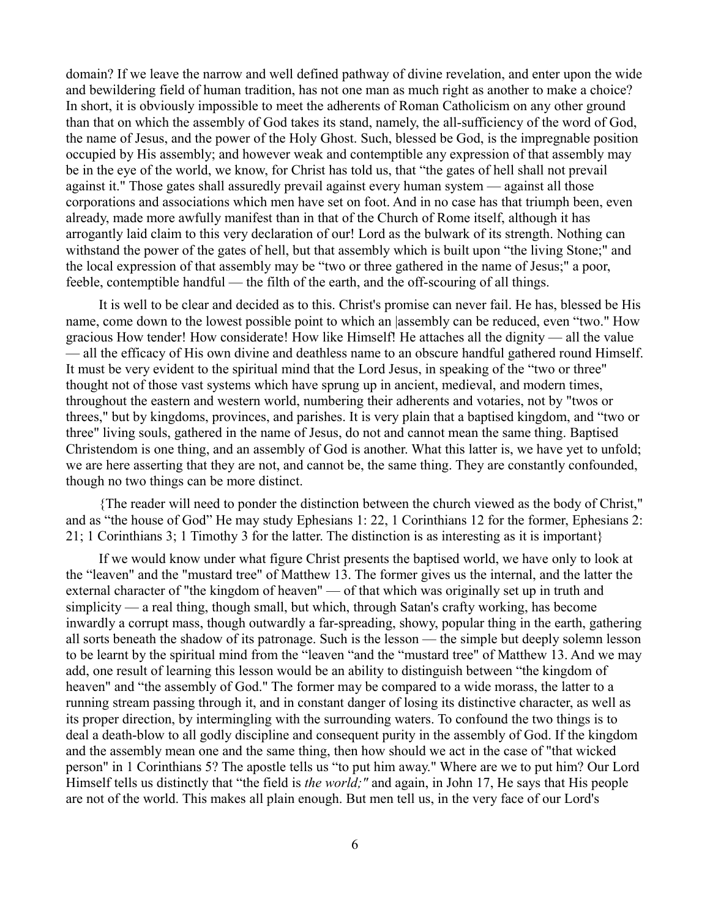domain? If we leave the narrow and well defined pathway of divine revelation, and enter upon the wide and bewildering field of human tradition, has not one man as much right as another to make a choice? In short, it is obviously impossible to meet the adherents of Roman Catholicism on any other ground than that on which the assembly of God takes its stand, namely, the all-sufficiency of the word of God, the name of Jesus, and the power of the Holy Ghost. Such, blessed be God, is the impregnable position occupied by His assembly; and however weak and contemptible any expression of that assembly may be in the eye of the world, we know, for Christ has told us, that "the gates of hell shall not prevail against it." Those gates shall assuredly prevail against every human system — against all those corporations and associations which men have set on foot. And in no case has that triumph been, even already, made more awfully manifest than in that of the Church of Rome itself, although it has arrogantly laid claim to this very declaration of our! Lord as the bulwark of its strength. Nothing can withstand the power of the gates of hell, but that assembly which is built upon "the living Stone;" and the local expression of that assembly may be "two or three gathered in the name of Jesus;" a poor, feeble, contemptible handful — the filth of the earth, and the off-scouring of all things.

It is well to be clear and decided as to this. Christ's promise can never fail. He has, blessed be His name, come down to the lowest possible point to which an |assembly can be reduced, even "two." How gracious How tender! How considerate! How like Himself! He attaches all the dignity — all the value — all the efficacy of His own divine and deathless name to an obscure handful gathered round Himself. It must be very evident to the spiritual mind that the Lord Jesus, in speaking of the "two or three" thought not of those vast systems which have sprung up in ancient, medieval, and modern times, throughout the eastern and western world, numbering their adherents and votaries, not by "twos or threes," but by kingdoms, provinces, and parishes. It is very plain that a baptised kingdom, and "two or three" living souls, gathered in the name of Jesus, do not and cannot mean the same thing. Baptised Christendom is one thing, and an assembly of God is another. What this latter is, we have yet to unfold; we are here asserting that they are not, and cannot be, the same thing. They are constantly confounded, though no two things can be more distinct.

{The reader will need to ponder the distinction between the church viewed as the body of Christ," and as "the house of God" He may study Ephesians 1: 22, 1 Corinthians 12 for the former, Ephesians 2: 21; 1 Corinthians 3; 1 Timothy 3 for the latter. The distinction is as interesting as it is important}

If we would know under what figure Christ presents the baptised world, we have only to look at the "leaven" and the "mustard tree" of Matthew 13. The former gives us the internal, and the latter the external character of "the kingdom of heaven" — of that which was originally set up in truth and simplicity — a real thing, though small, but which, through Satan's crafty working, has become inwardly a corrupt mass, though outwardly a far-spreading, showy, popular thing in the earth, gathering all sorts beneath the shadow of its patronage. Such is the lesson — the simple but deeply solemn lesson to be learnt by the spiritual mind from the "leaven "and the "mustard tree" of Matthew 13. And we may add, one result of learning this lesson would be an ability to distinguish between "the kingdom of heaven" and "the assembly of God." The former may be compared to a wide morass, the latter to a running stream passing through it, and in constant danger of losing its distinctive character, as well as its proper direction, by intermingling with the surrounding waters. To confound the two things is to deal a death-blow to all godly discipline and consequent purity in the assembly of God. If the kingdom and the assembly mean one and the same thing, then how should we act in the case of "that wicked person" in 1 Corinthians 5? The apostle tells us "to put him away." Where are we to put him? Our Lord Himself tells us distinctly that "the field is *the world;"* and again, in John 17, He says that His people are not of the world. This makes all plain enough. But men tell us, in the very face of our Lord's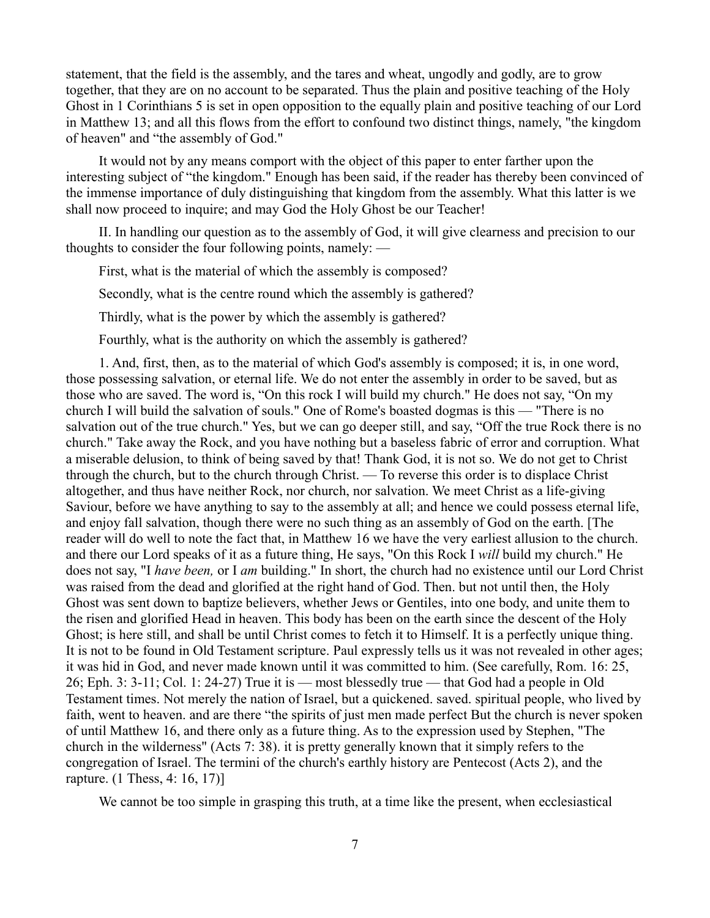statement, that the field is the assembly, and the tares and wheat, ungodly and godly, are to grow together, that they are on no account to be separated. Thus the plain and positive teaching of the Holy Ghost in 1 Corinthians 5 is set in open opposition to the equally plain and positive teaching of our Lord in Matthew 13; and all this flows from the effort to confound two distinct things, namely, "the kingdom of heaven" and "the assembly of God."

It would not by any means comport with the object of this paper to enter farther upon the interesting subject of "the kingdom." Enough has been said, if the reader has thereby been convinced of the immense importance of duly distinguishing that kingdom from the assembly. What this latter is we shall now proceed to inquire; and may God the Holy Ghost be our Teacher!

II. In handling our question as to the assembly of God, it will give clearness and precision to our thoughts to consider the four following points, namely: —

First, what is the material of which the assembly is composed?

Secondly, what is the centre round which the assembly is gathered?

Thirdly, what is the power by which the assembly is gathered?

Fourthly, what is the authority on which the assembly is gathered?

1. And, first, then, as to the material of which God's assembly is composed; it is, in one word, those possessing salvation, or eternal life. We do not enter the assembly in order to be saved, but as those who are saved. The word is, "On this rock I will build my church." He does not say, "On my church I will build the salvation of souls." One of Rome's boasted dogmas is this — "There is no salvation out of the true church." Yes, but we can go deeper still, and say, "Off the true Rock there is no church." Take away the Rock, and you have nothing but a baseless fabric of error and corruption. What a miserable delusion, to think of being saved by that! Thank God, it is not so. We do not get to Christ through the church, but to the church through Christ. — To reverse this order is to displace Christ altogether, and thus have neither Rock, nor church, nor salvation. We meet Christ as a life-giving Saviour, before we have anything to say to the assembly at all; and hence we could possess eternal life, and enjoy fall salvation, though there were no such thing as an assembly of God on the earth. [The reader will do well to note the fact that, in Matthew 16 we have the very earliest allusion to the church. and there our Lord speaks of it as a future thing, He says, "On this Rock I *will* build my church." He does not say, "I *have been,* or I *am* building." In short, the church had no existence until our Lord Christ was raised from the dead and glorified at the right hand of God. Then. but not until then, the Holy Ghost was sent down to baptize believers, whether Jews or Gentiles, into one body, and unite them to the risen and glorified Head in heaven. This body has been on the earth since the descent of the Holy Ghost; is here still, and shall be until Christ comes to fetch it to Himself. It is a perfectly unique thing. It is not to be found in Old Testament scripture. Paul expressly tells us it was not revealed in other ages; it was hid in God, and never made known until it was committed to him. (See carefully, Rom. 16: 25, 26; Eph. 3: 3-11; Col. 1: 24-27) True it is — most blessedly true — that God had a people in Old Testament times. Not merely the nation of Israel, but a quickened. saved. spiritual people, who lived by faith, went to heaven. and are there "the spirits of just men made perfect But the church is never spoken of until Matthew 16, and there only as a future thing. As to the expression used by Stephen, "The church in the wilderness" (Acts 7: 38). it is pretty generally known that it simply refers to the congregation of Israel. The termini of the church's earthly history are Pentecost (Acts 2), and the rapture. (1 Thess, 4: 16, 17)]

We cannot be too simple in grasping this truth, at a time like the present, when ecclesiastical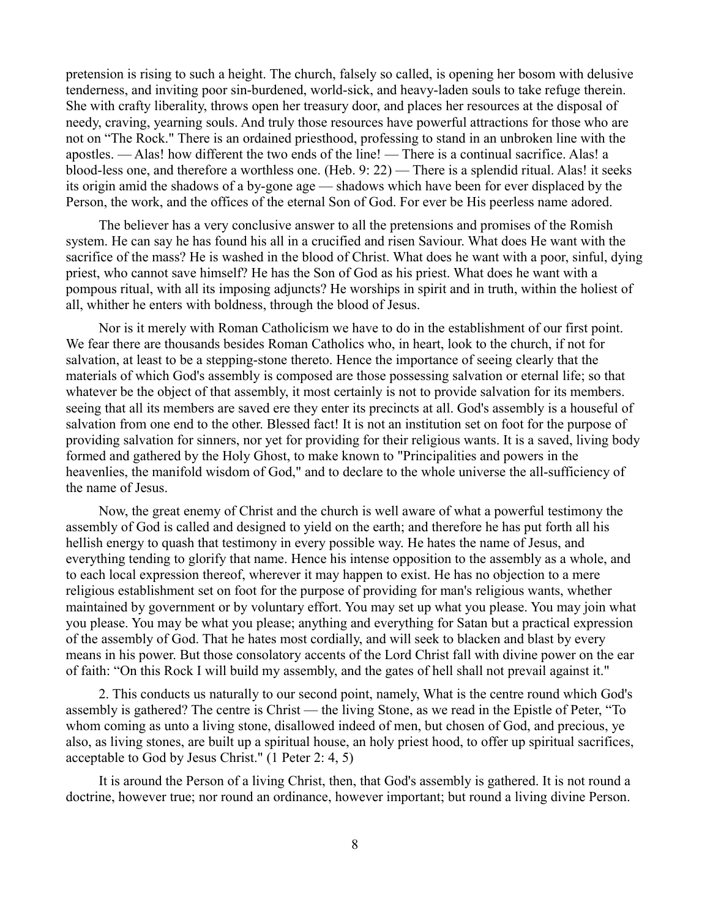pretension is rising to such a height. The church, falsely so called, is opening her bosom with delusive tenderness, and inviting poor sin-burdened, world-sick, and heavy-laden souls to take refuge therein. She with crafty liberality, throws open her treasury door, and places her resources at the disposal of needy, craving, yearning souls. And truly those resources have powerful attractions for those who are not on "The Rock." There is an ordained priesthood, professing to stand in an unbroken line with the apostles. — Alas! how different the two ends of the line! — There is a continual sacrifice. Alas! a blood-less one, and therefore a worthless one. (Heb. 9: 22) — There is a splendid ritual. Alas! it seeks its origin amid the shadows of a by-gone age — shadows which have been for ever displaced by the Person, the work, and the offices of the eternal Son of God. For ever be His peerless name adored.

The believer has a very conclusive answer to all the pretensions and promises of the Romish system. He can say he has found his all in a crucified and risen Saviour. What does He want with the sacrifice of the mass? He is washed in the blood of Christ. What does he want with a poor, sinful, dying priest, who cannot save himself? He has the Son of God as his priest. What does he want with a pompous ritual, with all its imposing adjuncts? He worships in spirit and in truth, within the holiest of all, whither he enters with boldness, through the blood of Jesus.

Nor is it merely with Roman Catholicism we have to do in the establishment of our first point. We fear there are thousands besides Roman Catholics who, in heart, look to the church, if not for salvation, at least to be a stepping-stone thereto. Hence the importance of seeing clearly that the materials of which God's assembly is composed are those possessing salvation or eternal life; so that whatever be the object of that assembly, it most certainly is not to provide salvation for its members. seeing that all its members are saved ere they enter its precincts at all. God's assembly is a houseful of salvation from one end to the other. Blessed fact! It is not an institution set on foot for the purpose of providing salvation for sinners, nor yet for providing for their religious wants. It is a saved, living body formed and gathered by the Holy Ghost, to make known to "Principalities and powers in the heavenlies, the manifold wisdom of God," and to declare to the whole universe the all-sufficiency of the name of Jesus.

Now, the great enemy of Christ and the church is well aware of what a powerful testimony the assembly of God is called and designed to yield on the earth; and therefore he has put forth all his hellish energy to quash that testimony in every possible way. He hates the name of Jesus, and everything tending to glorify that name. Hence his intense opposition to the assembly as a whole, and to each local expression thereof, wherever it may happen to exist. He has no objection to a mere religious establishment set on foot for the purpose of providing for man's religious wants, whether maintained by government or by voluntary effort. You may set up what you please. You may join what you please. You may be what you please; anything and everything for Satan but a practical expression of the assembly of God. That he hates most cordially, and will seek to blacken and blast by every means in his power. But those consolatory accents of the Lord Christ fall with divine power on the ear of faith: "On this Rock I will build my assembly, and the gates of hell shall not prevail against it."

2. This conducts us naturally to our second point, namely, What is the centre round which God's assembly is gathered? The centre is Christ — the living Stone, as we read in the Epistle of Peter, "To whom coming as unto a living stone, disallowed indeed of men, but chosen of God, and precious, ye also, as living stones, are built up a spiritual house, an holy priest hood, to offer up spiritual sacrifices, acceptable to God by Jesus Christ." (1 Peter 2: 4, 5)

It is around the Person of a living Christ, then, that God's assembly is gathered. It is not round a doctrine, however true; nor round an ordinance, however important; but round a living divine Person.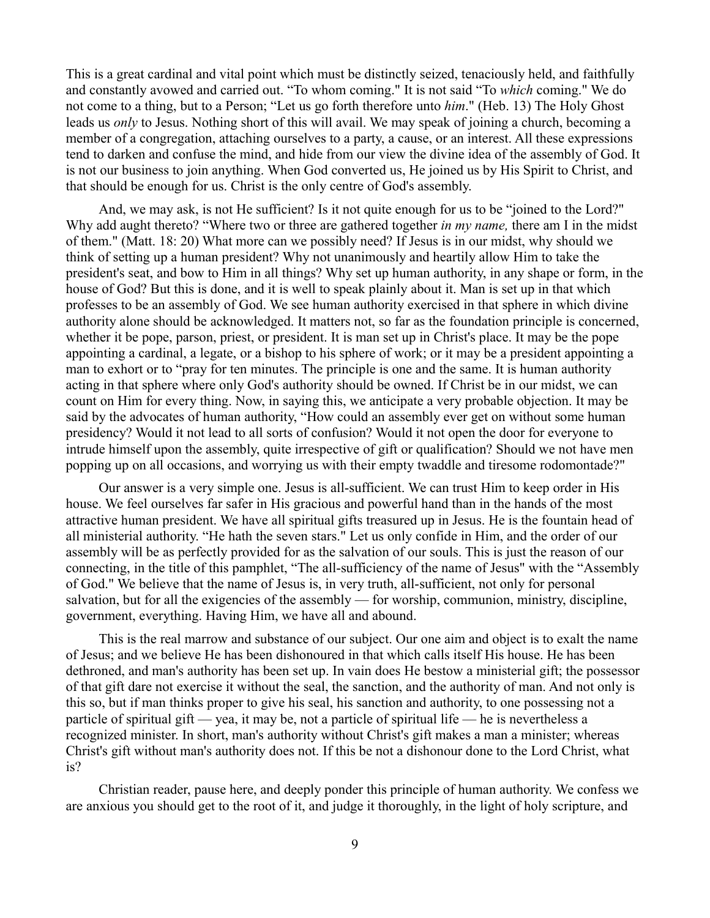This is a great cardinal and vital point which must be distinctly seized, tenaciously held, and faithfully and constantly avowed and carried out. "To whom coming." It is not said "To *which* coming." We do not come to a thing, but to a Person; "Let us go forth therefore unto *him*." (Heb. 13) The Holy Ghost leads us *only* to Jesus. Nothing short of this will avail. We may speak of joining a church, becoming a member of a congregation, attaching ourselves to a party, a cause, or an interest. All these expressions tend to darken and confuse the mind, and hide from our view the divine idea of the assembly of God. It is not our business to join anything. When God converted us, He joined us by His Spirit to Christ, and that should be enough for us. Christ is the only centre of God's assembly.

And, we may ask, is not He sufficient? Is it not quite enough for us to be "joined to the Lord?" Why add aught thereto? "Where two or three are gathered together *in my name,* there am I in the midst of them." (Matt. 18: 20) What more can we possibly need? If Jesus is in our midst, why should we think of setting up a human president? Why not unanimously and heartily allow Him to take the president's seat, and bow to Him in all things? Why set up human authority, in any shape or form, in the house of God? But this is done, and it is well to speak plainly about it. Man is set up in that which professes to be an assembly of God. We see human authority exercised in that sphere in which divine authority alone should be acknowledged. It matters not, so far as the foundation principle is concerned, whether it be pope, parson, priest, or president. It is man set up in Christ's place. It may be the pope appointing a cardinal, a legate, or a bishop to his sphere of work; or it may be a president appointing a man to exhort or to "pray for ten minutes. The principle is one and the same. It is human authority acting in that sphere where only God's authority should be owned. If Christ be in our midst, we can count on Him for every thing. Now, in saying this, we anticipate a very probable objection. It may be said by the advocates of human authority, "How could an assembly ever get on without some human presidency? Would it not lead to all sorts of confusion? Would it not open the door for everyone to intrude himself upon the assembly, quite irrespective of gift or qualification? Should we not have men popping up on all occasions, and worrying us with their empty twaddle and tiresome rodomontade?"

Our answer is a very simple one. Jesus is all-sufficient. We can trust Him to keep order in His house. We feel ourselves far safer in His gracious and powerful hand than in the hands of the most attractive human president. We have all spiritual gifts treasured up in Jesus. He is the fountain head of all ministerial authority. "He hath the seven stars." Let us only confide in Him, and the order of our assembly will be as perfectly provided for as the salvation of our souls. This is just the reason of our connecting, in the title of this pamphlet, "The all-sufficiency of the name of Jesus" with the "Assembly of God." We believe that the name of Jesus is, in very truth, all-sufficient, not only for personal salvation, but for all the exigencies of the assembly — for worship, communion, ministry, discipline, government, everything. Having Him, we have all and abound.

This is the real marrow and substance of our subject. Our one aim and object is to exalt the name of Jesus; and we believe He has been dishonoured in that which calls itself His house. He has been dethroned, and man's authority has been set up. In vain does He bestow a ministerial gift; the possessor of that gift dare not exercise it without the seal, the sanction, and the authority of man. And not only is this so, but if man thinks proper to give his seal, his sanction and authority, to one possessing not a particle of spiritual gift — yea, it may be, not a particle of spiritual life — he is nevertheless a recognized minister. In short, man's authority without Christ's gift makes a man a minister; whereas Christ's gift without man's authority does not. If this be not a dishonour done to the Lord Christ, what is?

Christian reader, pause here, and deeply ponder this principle of human authority. We confess we are anxious you should get to the root of it, and judge it thoroughly, in the light of holy scripture, and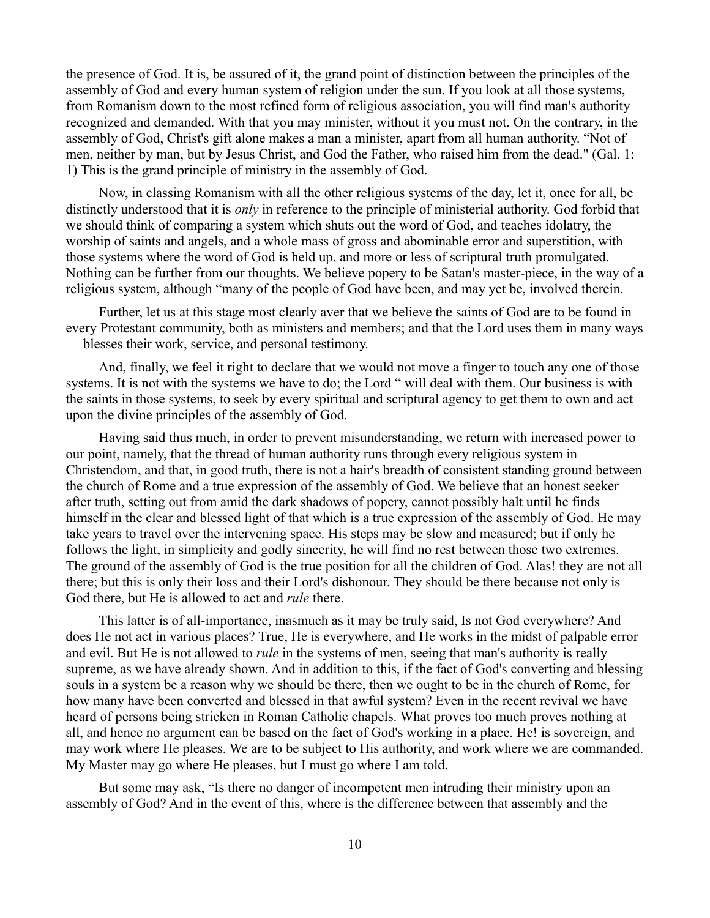the presence of God. It is, be assured of it, the grand point of distinction between the principles of the assembly of God and every human system of religion under the sun. If you look at all those systems, from Romanism down to the most refined form of religious association, you will find man's authority recognized and demanded. With that you may minister, without it you must not. On the contrary, in the assembly of God, Christ's gift alone makes a man a minister, apart from all human authority. "Not of men, neither by man, but by Jesus Christ, and God the Father, who raised him from the dead." (Gal. 1: 1) This is the grand principle of ministry in the assembly of God.

Now, in classing Romanism with all the other religious systems of the day, let it, once for all, be distinctly understood that it is *only* in reference to the principle of ministerial authority. God forbid that we should think of comparing a system which shuts out the word of God, and teaches idolatry, the worship of saints and angels, and a whole mass of gross and abominable error and superstition, with those systems where the word of God is held up, and more or less of scriptural truth promulgated. Nothing can be further from our thoughts. We believe popery to be Satan's master-piece, in the way of a religious system, although "many of the people of God have been, and may yet be, involved therein.

Further, let us at this stage most clearly aver that we believe the saints of God are to be found in every Protestant community, both as ministers and members; and that the Lord uses them in many ways — blesses their work, service, and personal testimony.

And, finally, we feel it right to declare that we would not move a finger to touch any one of those systems. It is not with the systems we have to do; the Lord " will deal with them. Our business is with the saints in those systems, to seek by every spiritual and scriptural agency to get them to own and act upon the divine principles of the assembly of God.

Having said thus much, in order to prevent misunderstanding, we return with increased power to our point, namely, that the thread of human authority runs through every religious system in Christendom, and that, in good truth, there is not a hair's breadth of consistent standing ground between the church of Rome and a true expression of the assembly of God. We believe that an honest seeker after truth, setting out from amid the dark shadows of popery, cannot possibly halt until he finds himself in the clear and blessed light of that which is a true expression of the assembly of God. He may take years to travel over the intervening space. His steps may be slow and measured; but if only he follows the light, in simplicity and godly sincerity, he will find no rest between those two extremes. The ground of the assembly of God is the true position for all the children of God. Alas! they are not all there; but this is only their loss and their Lord's dishonour. They should be there because not only is God there, but He is allowed to act and *rule* there.

This latter is of all-importance, inasmuch as it may be truly said, Is not God everywhere? And does He not act in various places? True, He is everywhere, and He works in the midst of palpable error and evil. But He is not allowed to *rule* in the systems of men, seeing that man's authority is really supreme, as we have already shown. And in addition to this, if the fact of God's converting and blessing souls in a system be a reason why we should be there, then we ought to be in the church of Rome, for how many have been converted and blessed in that awful system? Even in the recent revival we have heard of persons being stricken in Roman Catholic chapels. What proves too much proves nothing at all, and hence no argument can be based on the fact of God's working in a place. He! is sovereign, and may work where He pleases. We are to be subject to His authority, and work where we are commanded. My Master may go where He pleases, but I must go where I am told.

But some may ask, "Is there no danger of incompetent men intruding their ministry upon an assembly of God? And in the event of this, where is the difference between that assembly and the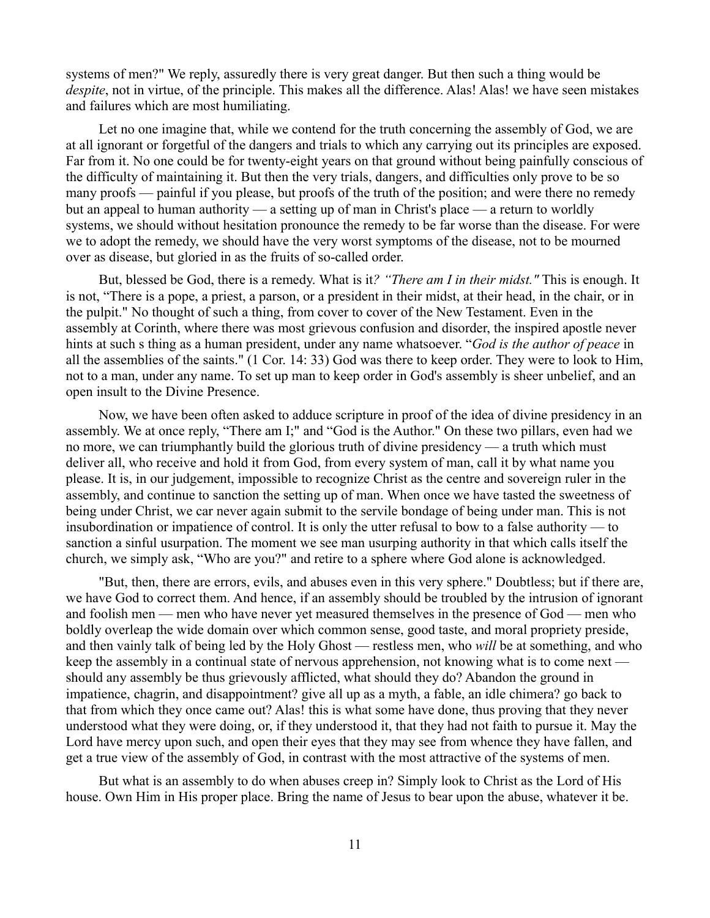systems of men?" We reply, assuredly there is very great danger. But then such a thing would be *despite*, not in virtue, of the principle. This makes all the difference. Alas! Alas! we have seen mistakes and failures which are most humiliating.

Let no one imagine that, while we contend for the truth concerning the assembly of God, we are at all ignorant or forgetful of the dangers and trials to which any carrying out its principles are exposed. Far from it. No one could be for twenty-eight years on that ground without being painfully conscious of the difficulty of maintaining it. But then the very trials, dangers, and difficulties only prove to be so many proofs — painful if you please, but proofs of the truth of the position; and were there no remedy but an appeal to human authority — a setting up of man in Christ's place — a return to worldly systems, we should without hesitation pronounce the remedy to be far worse than the disease. For were we to adopt the remedy, we should have the very worst symptoms of the disease, not to be mourned over as disease, but gloried in as the fruits of so-called order.

But, blessed be God, there is a remedy. What is it*? "There am I in their midst."* This is enough. It is not, "There is a pope, a priest, a parson, or a president in their midst, at their head, in the chair, or in the pulpit." No thought of such a thing, from cover to cover of the New Testament. Even in the assembly at Corinth, where there was most grievous confusion and disorder, the inspired apostle never hints at such s thing as a human president, under any name whatsoever. "*God is the author of peace* in all the assemblies of the saints." (1 Cor. 14: 33) God was there to keep order. They were to look to Him, not to a man, under any name. To set up man to keep order in God's assembly is sheer unbelief, and an open insult to the Divine Presence.

Now, we have been often asked to adduce scripture in proof of the idea of divine presidency in an assembly. We at once reply, "There am I;" and "God is the Author." On these two pillars, even had we no more, we can triumphantly build the glorious truth of divine presidency — a truth which must deliver all, who receive and hold it from God, from every system of man, call it by what name you please. It is, in our judgement, impossible to recognize Christ as the centre and sovereign ruler in the assembly, and continue to sanction the setting up of man. When once we have tasted the sweetness of being under Christ, we car never again submit to the servile bondage of being under man. This is not insubordination or impatience of control. It is only the utter refusal to bow to a false authority — to sanction a sinful usurpation. The moment we see man usurping authority in that which calls itself the church, we simply ask, "Who are you?" and retire to a sphere where God alone is acknowledged.

"But, then, there are errors, evils, and abuses even in this very sphere." Doubtless; but if there are, we have God to correct them. And hence, if an assembly should be troubled by the intrusion of ignorant and foolish men — men who have never yet measured themselves in the presence of God — men who boldly overleap the wide domain over which common sense, good taste, and moral propriety preside, and then vainly talk of being led by the Holy Ghost — restless men, who *will* be at something, and who keep the assembly in a continual state of nervous apprehension, not knowing what is to come next should any assembly be thus grievously afflicted, what should they do? Abandon the ground in impatience, chagrin, and disappointment? give all up as a myth, a fable, an idle chimera? go back to that from which they once came out? Alas! this is what some have done, thus proving that they never understood what they were doing, or, if they understood it, that they had not faith to pursue it. May the Lord have mercy upon such, and open their eyes that they may see from whence they have fallen, and get a true view of the assembly of God, in contrast with the most attractive of the systems of men.

But what is an assembly to do when abuses creep in? Simply look to Christ as the Lord of His house. Own Him in His proper place. Bring the name of Jesus to bear upon the abuse, whatever it be.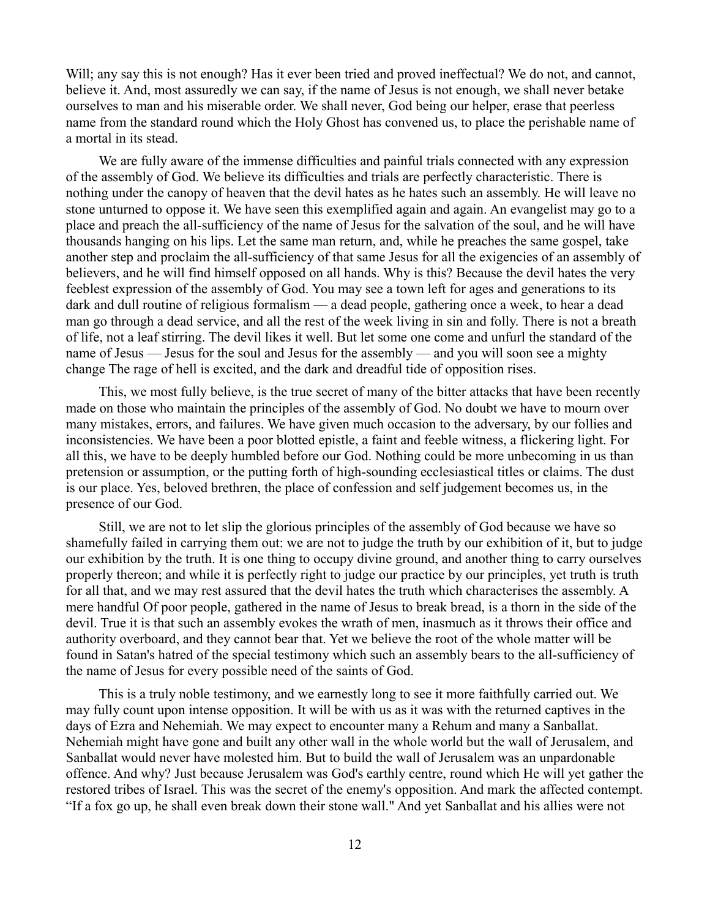Will; any say this is not enough? Has it ever been tried and proved ineffectual? We do not, and cannot, believe it. And, most assuredly we can say, if the name of Jesus is not enough, we shall never betake ourselves to man and his miserable order. We shall never, God being our helper, erase that peerless name from the standard round which the Holy Ghost has convened us, to place the perishable name of a mortal in its stead.

We are fully aware of the immense difficulties and painful trials connected with any expression of the assembly of God. We believe its difficulties and trials are perfectly characteristic. There is nothing under the canopy of heaven that the devil hates as he hates such an assembly. He will leave no stone unturned to oppose it. We have seen this exemplified again and again. An evangelist may go to a place and preach the all-sufficiency of the name of Jesus for the salvation of the soul, and he will have thousands hanging on his lips. Let the same man return, and, while he preaches the same gospel, take another step and proclaim the all-sufficiency of that same Jesus for all the exigencies of an assembly of believers, and he will find himself opposed on all hands. Why is this? Because the devil hates the very feeblest expression of the assembly of God. You may see a town left for ages and generations to its dark and dull routine of religious formalism — a dead people, gathering once a week, to hear a dead man go through a dead service, and all the rest of the week living in sin and folly. There is not a breath of life, not a leaf stirring. The devil likes it well. But let some one come and unfurl the standard of the name of Jesus — Jesus for the soul and Jesus for the assembly — and you will soon see a mighty change The rage of hell is excited, and the dark and dreadful tide of opposition rises.

This, we most fully believe, is the true secret of many of the bitter attacks that have been recently made on those who maintain the principles of the assembly of God. No doubt we have to mourn over many mistakes, errors, and failures. We have given much occasion to the adversary, by our follies and inconsistencies. We have been a poor blotted epistle, a faint and feeble witness, a flickering light. For all this, we have to be deeply humbled before our God. Nothing could be more unbecoming in us than pretension or assumption, or the putting forth of high-sounding ecclesiastical titles or claims. The dust is our place. Yes, beloved brethren, the place of confession and self judgement becomes us, in the presence of our God.

Still, we are not to let slip the glorious principles of the assembly of God because we have so shamefully failed in carrying them out: we are not to judge the truth by our exhibition of it, but to judge our exhibition by the truth. It is one thing to occupy divine ground, and another thing to carry ourselves properly thereon; and while it is perfectly right to judge our practice by our principles, yet truth is truth for all that, and we may rest assured that the devil hates the truth which characterises the assembly. A mere handful Of poor people, gathered in the name of Jesus to break bread, is a thorn in the side of the devil. True it is that such an assembly evokes the wrath of men, inasmuch as it throws their office and authority overboard, and they cannot bear that. Yet we believe the root of the whole matter will be found in Satan's hatred of the special testimony which such an assembly bears to the all-sufficiency of the name of Jesus for every possible need of the saints of God.

This is a truly noble testimony, and we earnestly long to see it more faithfully carried out. We may fully count upon intense opposition. It will be with us as it was with the returned captives in the days of Ezra and Nehemiah. We may expect to encounter many a Rehum and many a Sanballat. Nehemiah might have gone and built any other wall in the whole world but the wall of Jerusalem, and Sanballat would never have molested him. But to build the wall of Jerusalem was an unpardonable offence. And why? Just because Jerusalem was God's earthly centre, round which He will yet gather the restored tribes of Israel. This was the secret of the enemy's opposition. And mark the affected contempt. "If a fox go up, he shall even break down their stone wall." And yet Sanballat and his allies were not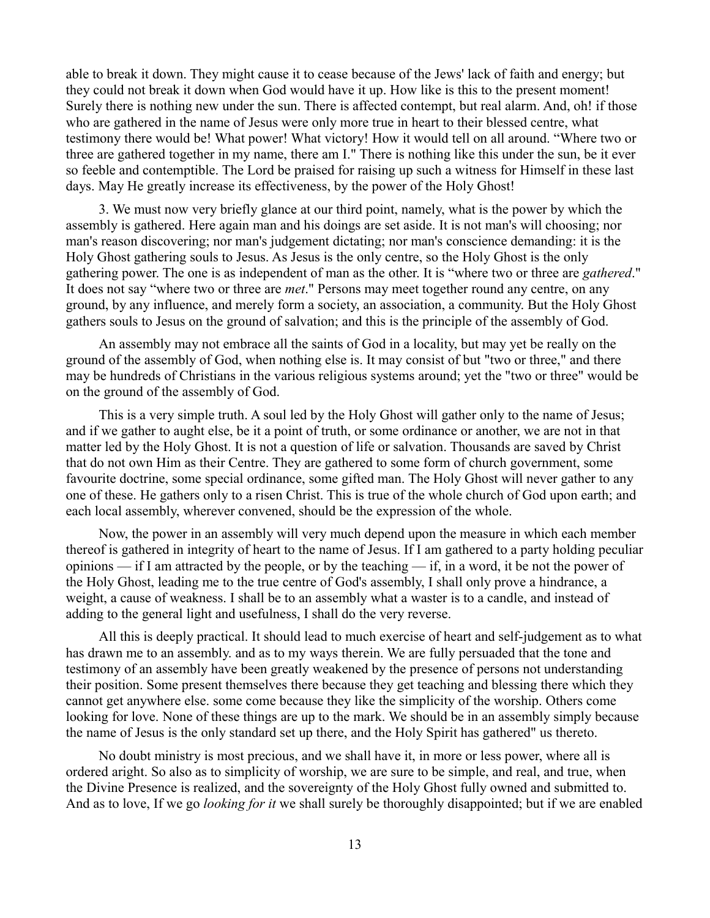able to break it down. They might cause it to cease because of the Jews' lack of faith and energy; but they could not break it down when God would have it up. How like is this to the present moment! Surely there is nothing new under the sun. There is affected contempt, but real alarm. And, oh! if those who are gathered in the name of Jesus were only more true in heart to their blessed centre, what testimony there would be! What power! What victory! How it would tell on all around. "Where two or three are gathered together in my name, there am I." There is nothing like this under the sun, be it ever so feeble and contemptible. The Lord be praised for raising up such a witness for Himself in these last days. May He greatly increase its effectiveness, by the power of the Holy Ghost!

3. We must now very briefly glance at our third point, namely, what is the power by which the assembly is gathered. Here again man and his doings are set aside. It is not man's will choosing; nor man's reason discovering; nor man's judgement dictating; nor man's conscience demanding: it is the Holy Ghost gathering souls to Jesus. As Jesus is the only centre, so the Holy Ghost is the only gathering power. The one is as independent of man as the other. It is "where two or three are *gathered*." It does not say "where two or three are *met*." Persons may meet together round any centre, on any ground, by any influence, and merely form a society, an association, a community. But the Holy Ghost gathers souls to Jesus on the ground of salvation; and this is the principle of the assembly of God.

An assembly may not embrace all the saints of God in a locality, but may yet be really on the ground of the assembly of God, when nothing else is. It may consist of but "two or three," and there may be hundreds of Christians in the various religious systems around; yet the "two or three" would be on the ground of the assembly of God.

This is a very simple truth. A soul led by the Holy Ghost will gather only to the name of Jesus; and if we gather to aught else, be it a point of truth, or some ordinance or another, we are not in that matter led by the Holy Ghost. It is not a question of life or salvation. Thousands are saved by Christ that do not own Him as their Centre. They are gathered to some form of church government, some favourite doctrine, some special ordinance, some gifted man. The Holy Ghost will never gather to any one of these. He gathers only to a risen Christ. This is true of the whole church of God upon earth; and each local assembly, wherever convened, should be the expression of the whole.

Now, the power in an assembly will very much depend upon the measure in which each member thereof is gathered in integrity of heart to the name of Jesus. If I am gathered to a party holding peculiar opinions — if I am attracted by the people, or by the teaching — if, in a word, it be not the power of the Holy Ghost, leading me to the true centre of God's assembly, I shall only prove a hindrance, a weight, a cause of weakness. I shall be to an assembly what a waster is to a candle, and instead of adding to the general light and usefulness, I shall do the very reverse.

All this is deeply practical. It should lead to much exercise of heart and self-judgement as to what has drawn me to an assembly. and as to my ways therein. We are fully persuaded that the tone and testimony of an assembly have been greatly weakened by the presence of persons not understanding their position. Some present themselves there because they get teaching and blessing there which they cannot get anywhere else. some come because they like the simplicity of the worship. Others come looking for love. None of these things are up to the mark. We should be in an assembly simply because the name of Jesus is the only standard set up there, and the Holy Spirit has gathered" us thereto.

No doubt ministry is most precious, and we shall have it, in more or less power, where all is ordered aright. So also as to simplicity of worship, we are sure to be simple, and real, and true, when the Divine Presence is realized, and the sovereignty of the Holy Ghost fully owned and submitted to. And as to love, If we go *looking for it* we shall surely be thoroughly disappointed; but if we are enabled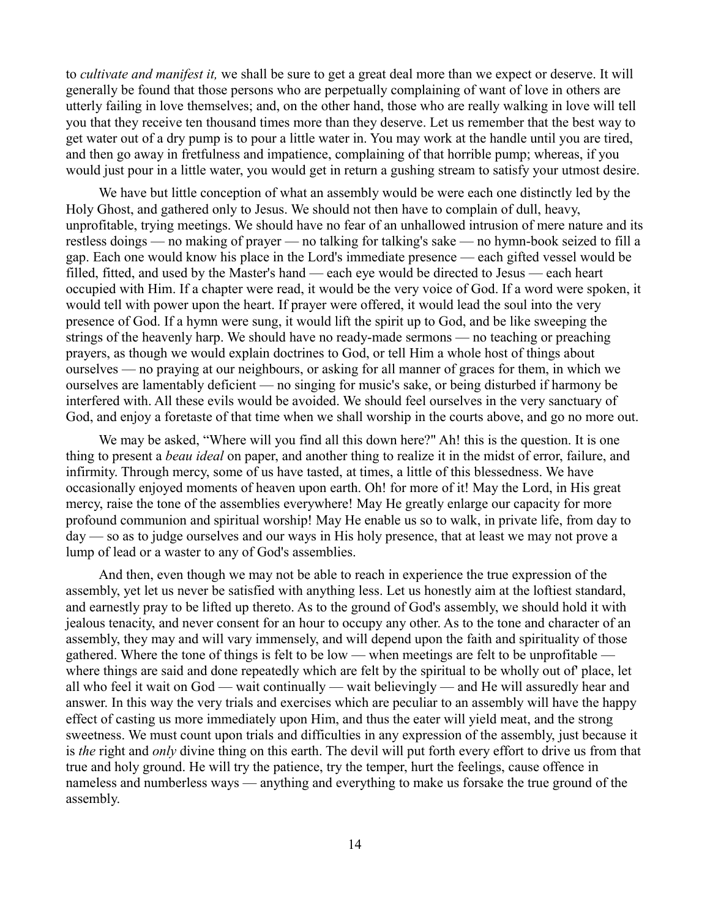to *cultivate and manifest it,* we shall be sure to get a great deal more than we expect or deserve. It will generally be found that those persons who are perpetually complaining of want of love in others are utterly failing in love themselves; and, on the other hand, those who are really walking in love will tell you that they receive ten thousand times more than they deserve. Let us remember that the best way to get water out of a dry pump is to pour a little water in. You may work at the handle until you are tired, and then go away in fretfulness and impatience, complaining of that horrible pump; whereas, if you would just pour in a little water, you would get in return a gushing stream to satisfy your utmost desire.

We have but little conception of what an assembly would be were each one distinctly led by the Holy Ghost, and gathered only to Jesus. We should not then have to complain of dull, heavy, unprofitable, trying meetings. We should have no fear of an unhallowed intrusion of mere nature and its restless doings — no making of prayer — no talking for talking's sake — no hymn-book seized to fill a gap. Each one would know his place in the Lord's immediate presence — each gifted vessel would be filled, fitted, and used by the Master's hand — each eye would be directed to Jesus — each heart occupied with Him. If a chapter were read, it would be the very voice of God. If a word were spoken, it would tell with power upon the heart. If prayer were offered, it would lead the soul into the very presence of God. If a hymn were sung, it would lift the spirit up to God, and be like sweeping the strings of the heavenly harp. We should have no ready-made sermons — no teaching or preaching prayers, as though we would explain doctrines to God, or tell Him a whole host of things about ourselves — no praying at our neighbours, or asking for all manner of graces for them, in which we ourselves are lamentably deficient — no singing for music's sake, or being disturbed if harmony be interfered with. All these evils would be avoided. We should feel ourselves in the very sanctuary of God, and enjoy a foretaste of that time when we shall worship in the courts above, and go no more out.

We may be asked, "Where will you find all this down here?" Ah! this is the question. It is one thing to present a *beau ideal* on paper, and another thing to realize it in the midst of error, failure, and infirmity. Through mercy, some of us have tasted, at times, a little of this blessedness. We have occasionally enjoyed moments of heaven upon earth. Oh! for more of it! May the Lord, in His great mercy, raise the tone of the assemblies everywhere! May He greatly enlarge our capacity for more profound communion and spiritual worship! May He enable us so to walk, in private life, from day to day — so as to judge ourselves and our ways in His holy presence, that at least we may not prove a lump of lead or a waster to any of God's assemblies.

And then, even though we may not be able to reach in experience the true expression of the assembly, yet let us never be satisfied with anything less. Let us honestly aim at the loftiest standard, and earnestly pray to be lifted up thereto. As to the ground of God's assembly, we should hold it with jealous tenacity, and never consent for an hour to occupy any other. As to the tone and character of an assembly, they may and will vary immensely, and will depend upon the faith and spirituality of those gathered. Where the tone of things is felt to be low — when meetings are felt to be unprofitable where things are said and done repeatedly which are felt by the spiritual to be wholly out of' place, let all who feel it wait on God — wait continually — wait believingly — and He will assuredly hear and answer. In this way the very trials and exercises which are peculiar to an assembly will have the happy effect of casting us more immediately upon Him, and thus the eater will yield meat, and the strong sweetness. We must count upon trials and difficulties in any expression of the assembly, just because it is *the* right and *only* divine thing on this earth. The devil will put forth every effort to drive us from that true and holy ground. He will try the patience, try the temper, hurt the feelings, cause offence in nameless and numberless ways — anything and everything to make us forsake the true ground of the assembly.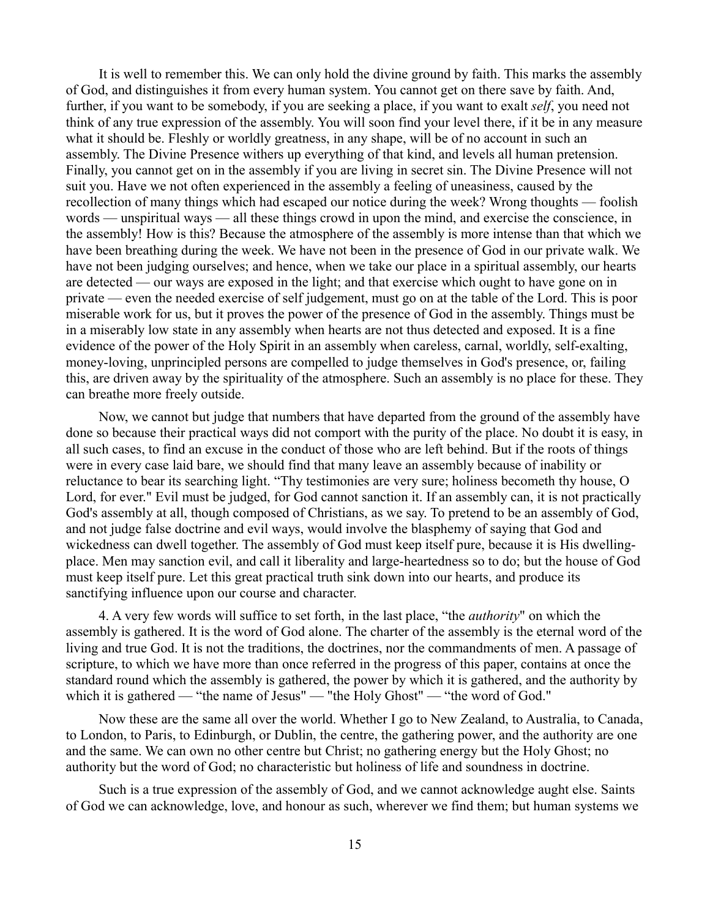It is well to remember this. We can only hold the divine ground by faith. This marks the assembly of God, and distinguishes it from every human system. You cannot get on there save by faith. And, further, if you want to be somebody, if you are seeking a place, if you want to exalt *self*, you need not think of any true expression of the assembly. You will soon find your level there, if it be in any measure what it should be. Fleshly or worldly greatness, in any shape, will be of no account in such an assembly. The Divine Presence withers up everything of that kind, and levels all human pretension. Finally, you cannot get on in the assembly if you are living in secret sin. The Divine Presence will not suit you. Have we not often experienced in the assembly a feeling of uneasiness, caused by the recollection of many things which had escaped our notice during the week? Wrong thoughts — foolish words — unspiritual ways — all these things crowd in upon the mind, and exercise the conscience, in the assembly! How is this? Because the atmosphere of the assembly is more intense than that which we have been breathing during the week. We have not been in the presence of God in our private walk. We have not been judging ourselves; and hence, when we take our place in a spiritual assembly, our hearts are detected — our ways are exposed in the light; and that exercise which ought to have gone on in private — even the needed exercise of self judgement, must go on at the table of the Lord. This is poor miserable work for us, but it proves the power of the presence of God in the assembly. Things must be in a miserably low state in any assembly when hearts are not thus detected and exposed. It is a fine evidence of the power of the Holy Spirit in an assembly when careless, carnal, worldly, self-exalting, money-loving, unprincipled persons are compelled to judge themselves in God's presence, or, failing this, are driven away by the spirituality of the atmosphere. Such an assembly is no place for these. They can breathe more freely outside.

Now, we cannot but judge that numbers that have departed from the ground of the assembly have done so because their practical ways did not comport with the purity of the place. No doubt it is easy, in all such cases, to find an excuse in the conduct of those who are left behind. But if the roots of things were in every case laid bare, we should find that many leave an assembly because of inability or reluctance to bear its searching light. "Thy testimonies are very sure; holiness becometh thy house, O Lord, for ever." Evil must be judged, for God cannot sanction it. If an assembly can, it is not practically God's assembly at all, though composed of Christians, as we say. To pretend to be an assembly of God, and not judge false doctrine and evil ways, would involve the blasphemy of saying that God and wickedness can dwell together. The assembly of God must keep itself pure, because it is His dwellingplace. Men may sanction evil, and call it liberality and large-heartedness so to do; but the house of God must keep itself pure. Let this great practical truth sink down into our hearts, and produce its sanctifying influence upon our course and character.

4. A very few words will suffice to set forth, in the last place, "the *authority*" on which the assembly is gathered. It is the word of God alone. The charter of the assembly is the eternal word of the living and true God. It is not the traditions, the doctrines, nor the commandments of men. A passage of scripture, to which we have more than once referred in the progress of this paper, contains at once the standard round which the assembly is gathered, the power by which it is gathered, and the authority by which it is gathered — "the name of Jesus" — "the Holy Ghost" — "the word of God."

Now these are the same all over the world. Whether I go to New Zealand, to Australia, to Canada, to London, to Paris, to Edinburgh, or Dublin, the centre, the gathering power, and the authority are one and the same. We can own no other centre but Christ; no gathering energy but the Holy Ghost; no authority but the word of God; no characteristic but holiness of life and soundness in doctrine.

Such is a true expression of the assembly of God, and we cannot acknowledge aught else. Saints of God we can acknowledge, love, and honour as such, wherever we find them; but human systems we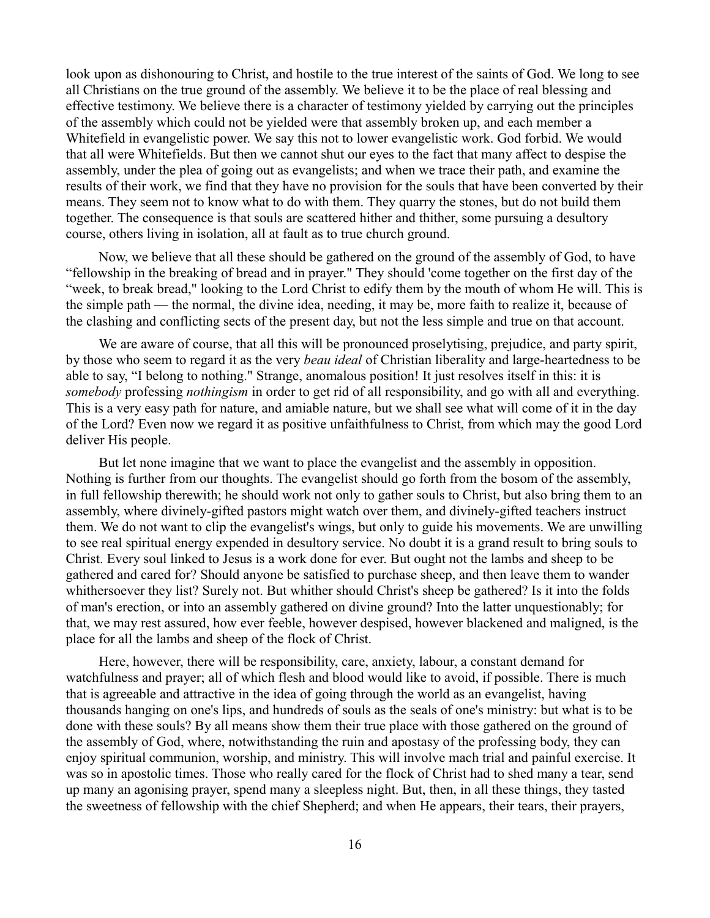look upon as dishonouring to Christ, and hostile to the true interest of the saints of God. We long to see all Christians on the true ground of the assembly. We believe it to be the place of real blessing and effective testimony. We believe there is a character of testimony yielded by carrying out the principles of the assembly which could not be yielded were that assembly broken up, and each member a Whitefield in evangelistic power. We say this not to lower evangelistic work. God forbid. We would that all were Whitefields. But then we cannot shut our eyes to the fact that many affect to despise the assembly, under the plea of going out as evangelists; and when we trace their path, and examine the results of their work, we find that they have no provision for the souls that have been converted by their means. They seem not to know what to do with them. They quarry the stones, but do not build them together. The consequence is that souls are scattered hither and thither, some pursuing a desultory course, others living in isolation, all at fault as to true church ground.

Now, we believe that all these should be gathered on the ground of the assembly of God, to have "fellowship in the breaking of bread and in prayer." They should 'come together on the first day of the "week, to break bread," looking to the Lord Christ to edify them by the mouth of whom He will. This is the simple path — the normal, the divine idea, needing, it may be, more faith to realize it, because of the clashing and conflicting sects of the present day, but not the less simple and true on that account.

We are aware of course, that all this will be pronounced proselytising, prejudice, and party spirit, by those who seem to regard it as the very *beau ideal* of Christian liberality and large-heartedness to be able to say, "I belong to nothing." Strange, anomalous position! It just resolves itself in this: it is *somebody* professing *nothingism* in order to get rid of all responsibility, and go with all and everything. This is a very easy path for nature, and amiable nature, but we shall see what will come of it in the day of the Lord? Even now we regard it as positive unfaithfulness to Christ, from which may the good Lord deliver His people.

But let none imagine that we want to place the evangelist and the assembly in opposition. Nothing is further from our thoughts. The evangelist should go forth from the bosom of the assembly, in full fellowship therewith; he should work not only to gather souls to Christ, but also bring them to an assembly, where divinely-gifted pastors might watch over them, and divinely-gifted teachers instruct them. We do not want to clip the evangelist's wings, but only to guide his movements. We are unwilling to see real spiritual energy expended in desultory service. No doubt it is a grand result to bring souls to Christ. Every soul linked to Jesus is a work done for ever. But ought not the lambs and sheep to be gathered and cared for? Should anyone be satisfied to purchase sheep, and then leave them to wander whithersoever they list? Surely not. But whither should Christ's sheep be gathered? Is it into the folds of man's erection, or into an assembly gathered on divine ground? Into the latter unquestionably; for that, we may rest assured, how ever feeble, however despised, however blackened and maligned, is the place for all the lambs and sheep of the flock of Christ.

Here, however, there will be responsibility, care, anxiety, labour, a constant demand for watchfulness and prayer; all of which flesh and blood would like to avoid, if possible. There is much that is agreeable and attractive in the idea of going through the world as an evangelist, having thousands hanging on one's lips, and hundreds of souls as the seals of one's ministry: but what is to be done with these souls? By all means show them their true place with those gathered on the ground of the assembly of God, where, notwithstanding the ruin and apostasy of the professing body, they can enjoy spiritual communion, worship, and ministry. This will involve mach trial and painful exercise. It was so in apostolic times. Those who really cared for the flock of Christ had to shed many a tear, send up many an agonising prayer, spend many a sleepless night. But, then, in all these things, they tasted the sweetness of fellowship with the chief Shepherd; and when He appears, their tears, their prayers,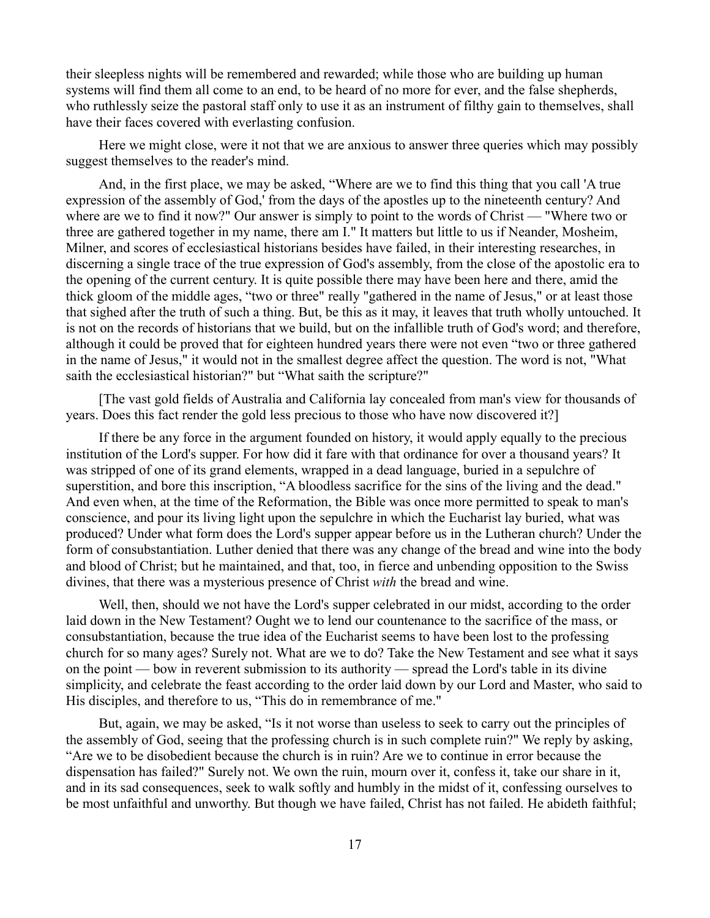their sleepless nights will be remembered and rewarded; while those who are building up human systems will find them all come to an end, to be heard of no more for ever, and the false shepherds, who ruthlessly seize the pastoral staff only to use it as an instrument of filthy gain to themselves, shall have their faces covered with everlasting confusion.

Here we might close, were it not that we are anxious to answer three queries which may possibly suggest themselves to the reader's mind.

And, in the first place, we may be asked, "Where are we to find this thing that you call 'A true expression of the assembly of God,' from the days of the apostles up to the nineteenth century? And where are we to find it now?" Our answer is simply to point to the words of Christ — "Where two or three are gathered together in my name, there am I." It matters but little to us if Neander, Mosheim, Milner, and scores of ecclesiastical historians besides have failed, in their interesting researches, in discerning a single trace of the true expression of God's assembly, from the close of the apostolic era to the opening of the current century. It is quite possible there may have been here and there, amid the thick gloom of the middle ages, "two or three" really "gathered in the name of Jesus," or at least those that sighed after the truth of such a thing. But, be this as it may, it leaves that truth wholly untouched. It is not on the records of historians that we build, but on the infallible truth of God's word; and therefore, although it could be proved that for eighteen hundred years there were not even "two or three gathered in the name of Jesus," it would not in the smallest degree affect the question. The word is not, "What saith the ecclesiastical historian?" but "What saith the scripture?"

[The vast gold fields of Australia and California lay concealed from man's view for thousands of years. Does this fact render the gold less precious to those who have now discovered it?]

If there be any force in the argument founded on history, it would apply equally to the precious institution of the Lord's supper. For how did it fare with that ordinance for over a thousand years? It was stripped of one of its grand elements, wrapped in a dead language, buried in a sepulchre of superstition, and bore this inscription, "A bloodless sacrifice for the sins of the living and the dead." And even when, at the time of the Reformation, the Bible was once more permitted to speak to man's conscience, and pour its living light upon the sepulchre in which the Eucharist lay buried, what was produced? Under what form does the Lord's supper appear before us in the Lutheran church? Under the form of consubstantiation. Luther denied that there was any change of the bread and wine into the body and blood of Christ; but he maintained, and that, too, in fierce and unbending opposition to the Swiss divines, that there was a mysterious presence of Christ *with* the bread and wine.

Well, then, should we not have the Lord's supper celebrated in our midst, according to the order laid down in the New Testament? Ought we to lend our countenance to the sacrifice of the mass, or consubstantiation, because the true idea of the Eucharist seems to have been lost to the professing church for so many ages? Surely not. What are we to do? Take the New Testament and see what it says on the point — bow in reverent submission to its authority — spread the Lord's table in its divine simplicity, and celebrate the feast according to the order laid down by our Lord and Master, who said to His disciples, and therefore to us, "This do in remembrance of me."

But, again, we may be asked, "Is it not worse than useless to seek to carry out the principles of the assembly of God, seeing that the professing church is in such complete ruin?" We reply by asking, "Are we to be disobedient because the church is in ruin? Are we to continue in error because the dispensation has failed?" Surely not. We own the ruin, mourn over it, confess it, take our share in it, and in its sad consequences, seek to walk softly and humbly in the midst of it, confessing ourselves to be most unfaithful and unworthy. But though we have failed, Christ has not failed. He abideth faithful;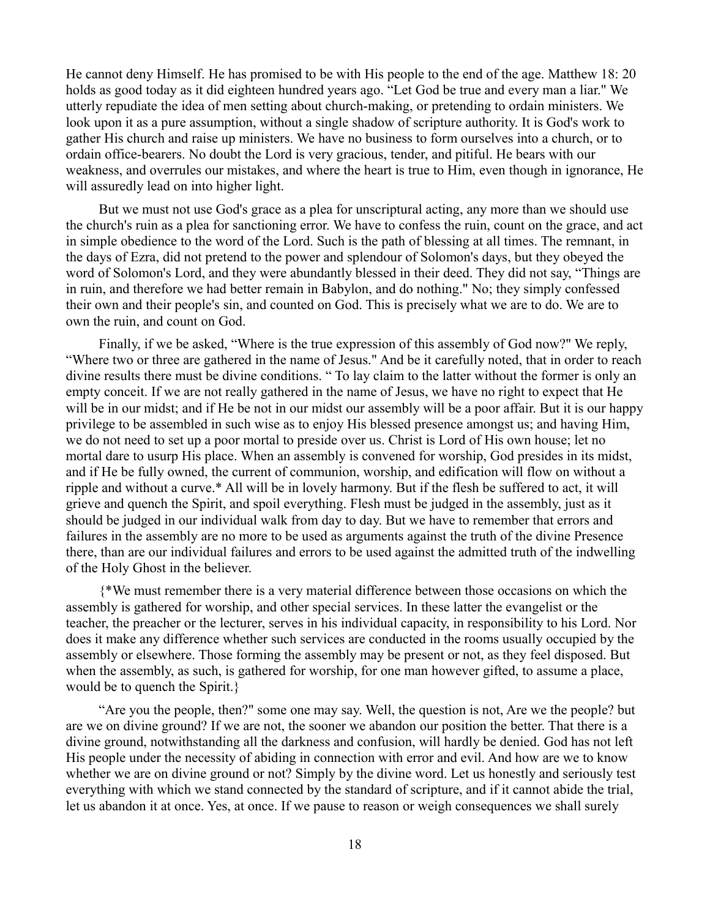He cannot deny Himself. He has promised to be with His people to the end of the age. Matthew 18: 20 holds as good today as it did eighteen hundred years ago. "Let God be true and every man a liar." We utterly repudiate the idea of men setting about church-making, or pretending to ordain ministers. We look upon it as a pure assumption, without a single shadow of scripture authority. It is God's work to gather His church and raise up ministers. We have no business to form ourselves into a church, or to ordain office-bearers. No doubt the Lord is very gracious, tender, and pitiful. He bears with our weakness, and overrules our mistakes, and where the heart is true to Him, even though in ignorance, He will assuredly lead on into higher light.

But we must not use God's grace as a plea for unscriptural acting, any more than we should use the church's ruin as a plea for sanctioning error. We have to confess the ruin, count on the grace, and act in simple obedience to the word of the Lord. Such is the path of blessing at all times. The remnant, in the days of Ezra, did not pretend to the power and splendour of Solomon's days, but they obeyed the word of Solomon's Lord, and they were abundantly blessed in their deed. They did not say, "Things are in ruin, and therefore we had better remain in Babylon, and do nothing." No; they simply confessed their own and their people's sin, and counted on God. This is precisely what we are to do. We are to own the ruin, and count on God.

Finally, if we be asked, "Where is the true expression of this assembly of God now?" We reply, "Where two or three are gathered in the name of Jesus." And be it carefully noted, that in order to reach divine results there must be divine conditions. " To lay claim to the latter without the former is only an empty conceit. If we are not really gathered in the name of Jesus, we have no right to expect that He will be in our midst; and if He be not in our midst our assembly will be a poor affair. But it is our happy privilege to be assembled in such wise as to enjoy His blessed presence amongst us; and having Him, we do not need to set up a poor mortal to preside over us. Christ is Lord of His own house; let no mortal dare to usurp His place. When an assembly is convened for worship, God presides in its midst, and if He be fully owned, the current of communion, worship, and edification will flow on without a ripple and without a curve.\* All will be in lovely harmony. But if the flesh be suffered to act, it will grieve and quench the Spirit, and spoil everything. Flesh must be judged in the assembly, just as it should be judged in our individual walk from day to day. But we have to remember that errors and failures in the assembly are no more to be used as arguments against the truth of the divine Presence there, than are our individual failures and errors to be used against the admitted truth of the indwelling of the Holy Ghost in the believer.

{\*We must remember there is a very material difference between those occasions on which the assembly is gathered for worship, and other special services. In these latter the evangelist or the teacher, the preacher or the lecturer, serves in his individual capacity, in responsibility to his Lord. Nor does it make any difference whether such services are conducted in the rooms usually occupied by the assembly or elsewhere. Those forming the assembly may be present or not, as they feel disposed. But when the assembly, as such, is gathered for worship, for one man however gifted, to assume a place, would be to quench the Spirit.}

"Are you the people, then?" some one may say. Well, the question is not, Are we the people? but are we on divine ground? If we are not, the sooner we abandon our position the better. That there is a divine ground, notwithstanding all the darkness and confusion, will hardly be denied. God has not left His people under the necessity of abiding in connection with error and evil. And how are we to know whether we are on divine ground or not? Simply by the divine word. Let us honestly and seriously test everything with which we stand connected by the standard of scripture, and if it cannot abide the trial, let us abandon it at once. Yes, at once. If we pause to reason or weigh consequences we shall surely